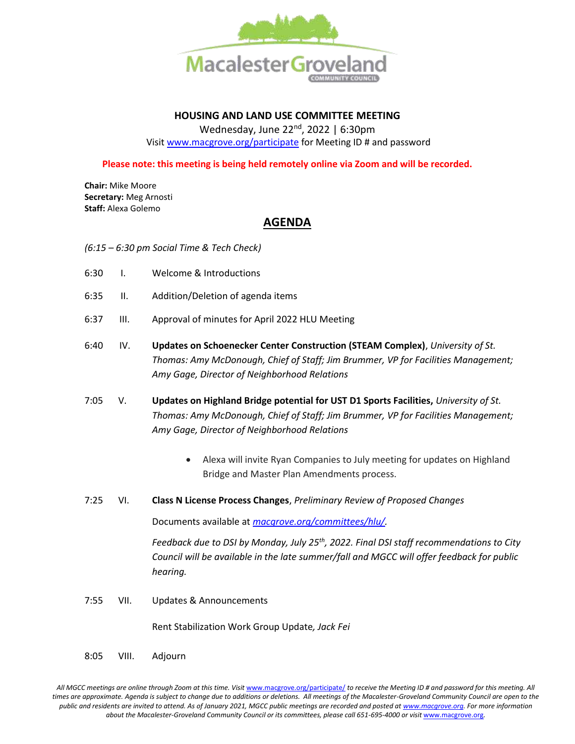

### **HOUSING AND LAND USE COMMITTEE MEETING**

Wednesday, June 22<sup>nd</sup>, 2022 | 6:30pm Visi[t www.macgrove.org/participate](file:///C:/Users/liz/Dropbox/Committees/Housing%20&%20Land%20Use%20Committee/AGENDAS/HLU%202021/www.macgrove.org/participate) for Meeting ID # and password

**Please note: this meeting is being held remotely online via Zoom and will be recorded.**

**Chair:** Mike Moore **Secretary:** Meg Arnosti **Staff:** Alexa Golemo

## **AGENDA**

*(6:15 – 6:30 pm Social Time & Tech Check)*

- 6:30 I. Welcome & Introductions
- 6:35 II. Addition/Deletion of agenda items
- 6:37 III. Approval of minutes for April 2022 HLU Meeting
- 6:40 IV. **Updates on Schoenecker Center Construction (STEAM Complex)**, *University of St. Thomas: Amy McDonough, Chief of Staff; Jim Brummer, VP for Facilities Management; Amy Gage, Director of Neighborhood Relations*
- 7:05 V. **Updates on Highland Bridge potential for UST D1 Sports Facilities,** *University of St. Thomas: Amy McDonough, Chief of Staff; Jim Brummer, VP for Facilities Management; Amy Gage, Director of Neighborhood Relations* 
	- Alexa will invite Ryan Companies to July meeting for updates on Highland Bridge and Master Plan Amendments process.
- 7:25 VI. **Class N License Process Changes**, *Preliminary Review of Proposed Changes*

Documents available at *[macgrove.org/committees/hlu/.](https://macgrove.org/committees/hlu/)* 

*Feedback due to DSI by Monday, July 25th, 2022. Final DSI staff recommendations to City Council will be available in the late summer/fall and MGCC will offer feedback for public hearing.* 

7:55 VII. Updates & Announcements

Rent Stabilization Work Group Update*, Jack Fei* 

8:05 VIII. Adjourn

All MGCC meetings are online through Zoom at this time. Visit [www.macgrove.org/participate/](http://www.macgrove.org/participate/) to receive the Meeting ID # and password for this meeting. All times are approximate. Agenda is subject to change due to additions or deletions. All meetings of the Macalester-Groveland Community Council are open to the *public and residents are invited to attend. As of January 2021, MGCC public meetings are recorded and posted a[t www.macgrove.org.](http://www.macgrove.org/) For more information about the Macalester-Groveland Community Council or its committees, please call 651-695-4000 or visit* [www.macgrove.org](http://www.macgrove.org/)*.*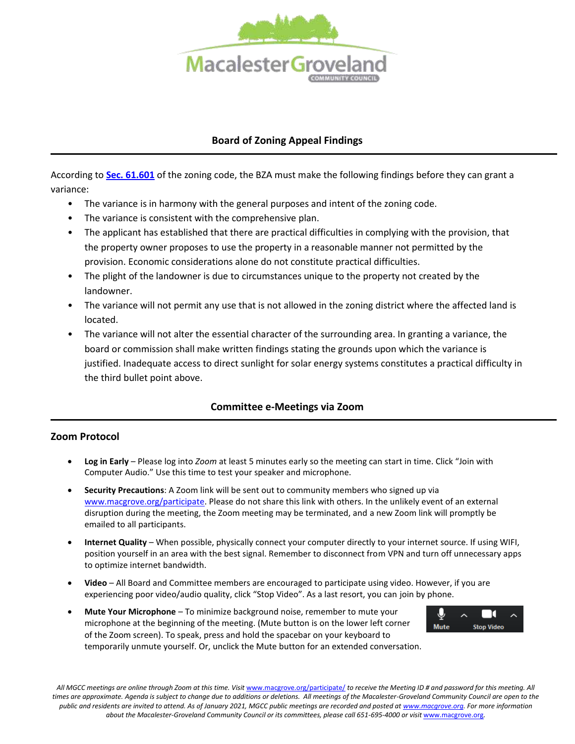

# **Board of Zoning Appeal Findings**

According to **[Sec. 61.601](https://library.municode.com/mn/st._paul/codes/code_of_ordinances?nodeId=PTIILECO_TITVIIIZOCO_CH61ZOCODMEN_ARTVI61.600.VA_S61.601VA)** of the zoning code, the BZA must make the following findings before they can grant a variance:

- The variance is in harmony with the general purposes and intent of the zoning code.
- The variance is consistent with the comprehensive plan.
- The applicant has established that there are practical difficulties in complying with the provision, that the property owner proposes to use the property in a reasonable manner not permitted by the provision. Economic considerations alone do not constitute practical difficulties.
- The plight of the landowner is due to circumstances unique to the property not created by the landowner.
- The variance will not permit any use that is not allowed in the zoning district where the affected land is located.
- The variance will not alter the essential character of the surrounding area. In granting a variance, the board or commission shall make written findings stating the grounds upon which the variance is justified. Inadequate access to direct sunlight for solar energy systems constitutes a practical difficulty in the third bullet point above.

#### **Committee e-Meetings via Zoom**

#### **Zoom Protocol**

- **Log in Early**  Please log into *Zoom* at least 5 minutes early so the meeting can start in time. Click "Join with Computer Audio." Use this time to test your speaker and microphone.
- **Security Precautions**: A Zoom link will be sent out to community members who signed up via [www.macgrove.org/participate.](http://www.macgrove.org/participate) Please do not share this link with others. In the unlikely event of an external disruption during the meeting, the Zoom meeting may be terminated, and a new Zoom link will promptly be emailed to all participants.
- **Internet Quality** When possible, physically connect your computer directly to your internet source. If using WIFI, position yourself in an area with the best signal. Remember to disconnect from VPN and turn off unnecessary apps to optimize internet bandwidth.
- **Video** All Board and Committee members are encouraged to participate using video. However, if you are experiencing poor video/audio quality, click "Stop Video". As a last resort, you can join by phone.
- **Mute Your Microphone**  To minimize background noise, remember to mute your microphone at the beginning of the meeting. (Mute button is on the lower left corner of the Zoom screen). To speak, press and hold the spacebar on your keyboard to temporarily unmute yourself. Or, unclick the Mute button for an extended conversation.



All MGCC meetings are online through Zoom at this time. Visit [www.macgrove.org/participate/](http://www.macgrove.org/participate/) to receive the Meeting ID # and password for this meeting. All times are approximate. Agenda is subject to change due to additions or deletions. All meetings of the Macalester-Groveland Community Council are open to the *public and residents are invited to attend. As of January 2021, MGCC public meetings are recorded and posted a[t www.macgrove.org.](http://www.macgrove.org/) For more information about the Macalester-Groveland Community Council or its committees, please call 651-695-4000 or visit* [www.macgrove.org](http://www.macgrove.org/)*.*